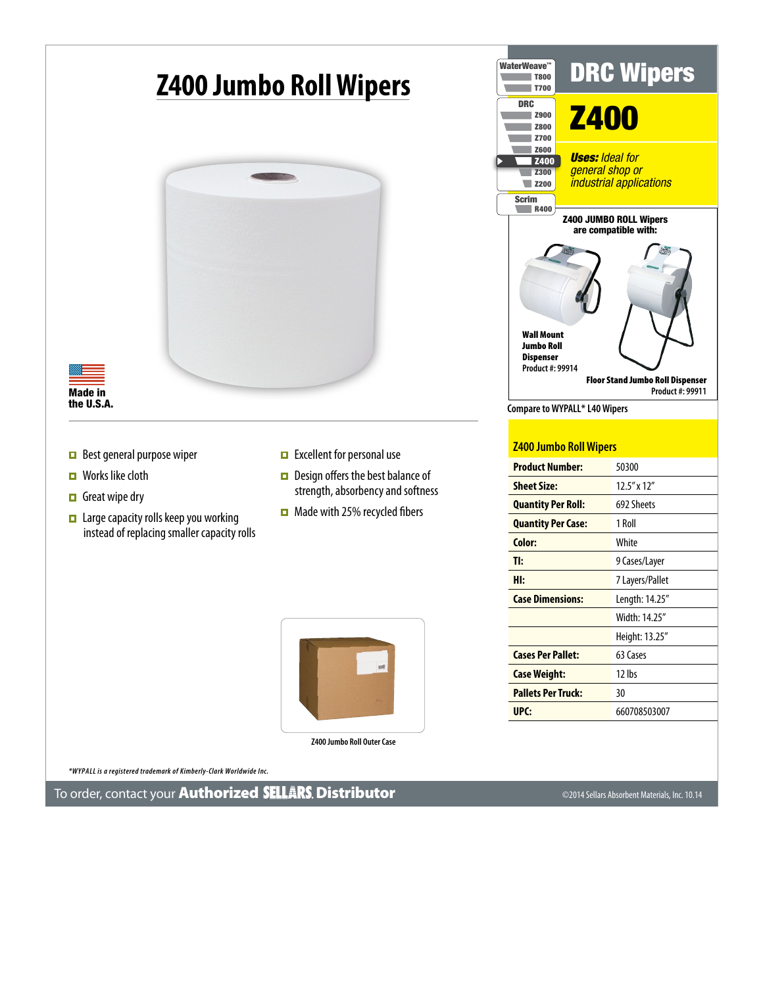

**Z400 Jumbo Roll Outer Case**

*\*WYPALL is a registered trademark of Kimberly-Clark Worldwide Inc.*

To order, contact your Authorized Distributor ©2014 Sellars Absorbent Materials, Inc. 10.14

|            | WaterWeave <sup>"*</sup>               |                                         |  |  |
|------------|----------------------------------------|-----------------------------------------|--|--|
| TRNN       |                                        | <b>DRC Wipers</b>                       |  |  |
|            | 700                                    |                                         |  |  |
| <b>DRC</b> |                                        |                                         |  |  |
|            | <b>Z900</b>                            | <b>Z400</b>                             |  |  |
|            | <b>Z800</b>                            |                                         |  |  |
|            | <b>Z700</b>                            |                                         |  |  |
|            | <b>Z600</b>                            | <b>Uses:</b> Ideal for                  |  |  |
|            | <b>Z400</b><br><b>Z300</b>             | general shop or                         |  |  |
|            | <b>Z200</b>                            | industrial applications                 |  |  |
|            | <b>Scrim</b>                           |                                         |  |  |
|            | <b>R400</b>                            |                                         |  |  |
|            |                                        | <b>Z400 JUMBO ROLL Wipers</b>           |  |  |
|            | are compatible with:                   |                                         |  |  |
|            | <b>Wall Mount</b><br><b>Jumbo Roll</b> |                                         |  |  |
|            | <b>Dispenser</b>                       |                                         |  |  |
|            | Product #: 99914                       |                                         |  |  |
|            |                                        | <b>Floor Stand Jumbo Roll Dispenser</b> |  |  |
|            |                                        | Product #: 99911                        |  |  |
|            |                                        | Compare to WYPALL* L40 Wipers           |  |  |
|            |                                        |                                         |  |  |

## **Z400 Jumbo Roll Wipers**

| <b>Product Number:</b>    | 50300             |
|---------------------------|-------------------|
| <b>Sheet Size:</b>        | $12.5''$ x $12''$ |
| <b>Quantity Per Roll:</b> | 692 Sheets        |
| <b>Quantity Per Case:</b> | 1 Roll            |
| Color:                    | White             |
| TI:                       | 9 Cases/Layer     |
| HI:                       | 7 Layers/Pallet   |
| <b>Case Dimensions:</b>   | Length: 14.25"    |
|                           | Width: 14.25"     |
|                           | Height: 13.25"    |
| <b>Cases Per Pallet:</b>  | 63 Cases          |
| <b>Case Weight:</b>       | 12 lbs            |
| <b>Pallets Per Truck:</b> | 30                |
| UPC:                      | 660708503007      |
|                           |                   |